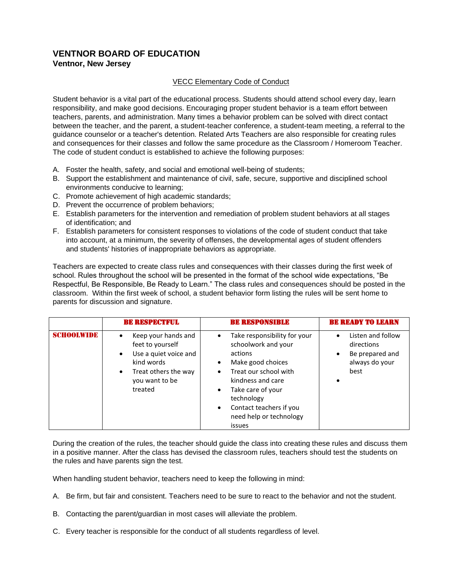# **VENTNOR BOARD OF EDUCATION Ventnor, New Jersey**

## VECC Elementary Code of Conduct

Student behavior is a vital part of the educational process. Students should attend school every day, learn responsibility, and make good decisions. Encouraging proper student behavior is a team effort between teachers, parents, and administration. Many times a behavior problem can be solved with direct contact between the teacher, and the parent, a student-teacher conference, a student-team meeting, a referral to the guidance counselor or a teacher's detention. Related Arts Teachers are also responsible for creating rules and consequences for their classes and follow the same procedure as the Classroom / Homeroom Teacher. The code of student conduct is established to achieve the following purposes:

- A. Foster the health, safety, and social and emotional well-being of students;
- B. Support the establishment and maintenance of civil, safe, secure, supportive and disciplined school environments conducive to learning;
- C. Promote achievement of high academic standards;
- D. Prevent the occurrence of problem behaviors;
- E. Establish parameters for the intervention and remediation of problem student behaviors at all stages of identification; and
- F. Establish parameters for consistent responses to violations of the code of student conduct that take into account, at a minimum, the severity of offenses, the developmental ages of student offenders and students' histories of inappropriate behaviors as appropriate.

Teachers are expected to create class rules and consequences with their classes during the first week of school. Rules throughout the school will be presented in the format of the school wide expectations, "Be Respectful, Be Responsible, Be Ready to Learn." The class rules and consequences should be posted in the classroom. Within the first week of school, a student behavior form listing the rules will be sent home to parents for discussion and signature.

|                   | <b>BE RESPECTFUL</b>                                                                                                                                                       | <b>BE RESPONSIBLE</b>                                                                                                                                                                                                                                                                         | <b>BE READY TO LEARN</b>                                                                  |
|-------------------|----------------------------------------------------------------------------------------------------------------------------------------------------------------------------|-----------------------------------------------------------------------------------------------------------------------------------------------------------------------------------------------------------------------------------------------------------------------------------------------|-------------------------------------------------------------------------------------------|
| <b>SCHOOLWIDE</b> | Keep your hands and<br>$\bullet$<br>feet to yourself<br>Use a quiet voice and<br>$\bullet$<br>kind words<br>Treat others the way<br>$\bullet$<br>you want to be<br>treated | Take responsibility for your<br>٠<br>schoolwork and your<br>actions<br>Make good choices<br>$\bullet$<br>Treat our school with<br>$\bullet$<br>kindness and care<br>Take care of your<br>$\bullet$<br>technology<br>Contact teachers if you<br>$\bullet$<br>need help or technology<br>issues | Listen and follow<br>directions<br>Be prepared and<br>$\bullet$<br>always do your<br>best |

During the creation of the rules, the teacher should guide the class into creating these rules and discuss them in a positive manner. After the class has devised the classroom rules, teachers should test the students on the rules and have parents sign the test.

When handling student behavior, teachers need to keep the following in mind:

- A. Be firm, but fair and consistent. Teachers need to be sure to react to the behavior and not the student.
- B. Contacting the parent/guardian in most cases will alleviate the problem.
- C. Every teacher is responsible for the conduct of all students regardless of level.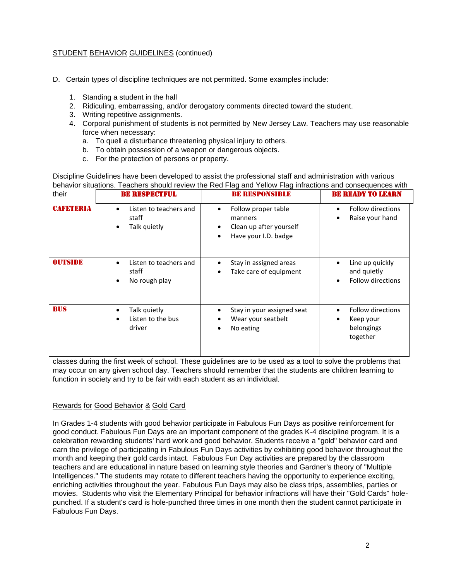- D. Certain types of discipline techniques are not permitted. Some examples include:
	- 1. Standing a student in the hall
	- 2. Ridiculing, embarrassing, and/or derogatory comments directed toward the student.
	- 3. Writing repetitive assignments.
	- 4. Corporal punishment of students is not permitted by New Jersey Law. Teachers may use reasonable force when necessary:
		- a. To quell a disturbance threatening physical injury to others.
		- b. To obtain possession of a weapon or dangerous objects.
		- c. For the protection of persons or property.

Discipline Guidelines have been developed to assist the professional staff and administration with various behavior situations. Teachers should review the Red Flag and Yellow Flag infractions and consequences with

| their             | <b>BE RESPECTFUL</b>                                              | <b>BE RESPONSIBLE</b>                                                                               | <b>BE READY TO LEARN</b>                                        |
|-------------------|-------------------------------------------------------------------|-----------------------------------------------------------------------------------------------------|-----------------------------------------------------------------|
| <b>CARBITERIA</b> | Listen to teachers and<br>$\bullet$<br>staff<br>Talk quietly<br>٠ | Follow proper table<br>٠<br>manners<br>Clean up after yourself<br>$\bullet$<br>Have your I.D. badge | <b>Follow directions</b><br>Raise your hand                     |
| <b>OUTSIDE</b>    | Listen to teachers and<br>staff<br>No rough play<br>٠             | Stay in assigned areas<br>Take care of equipment<br>$\bullet$                                       | Line up quickly<br>and quietly<br><b>Follow directions</b>      |
| <b>BUS</b>        | Talk quietly<br>$\bullet$<br>Listen to the bus<br>driver          | Stay in your assigned seat<br>Wear your seatbelt<br>No eating<br>٠                                  | <b>Follow directions</b><br>Keep your<br>belongings<br>together |

classes during the first week of school. These guidelines are to be used as a tool to solve the problems that may occur on any given school day. Teachers should remember that the students are children learning to function in society and try to be fair with each student as an individual.

## Rewards for Good Behavior & Gold Card

In Grades 1-4 students with good behavior participate in Fabulous Fun Days as positive reinforcement for good conduct. Fabulous Fun Days are an important component of the grades K-4 discipline program. It is a celebration rewarding students' hard work and good behavior. Students receive a "gold" behavior card and earn the privilege of participating in Fabulous Fun Days activities by exhibiting good behavior throughout the month and keeping their gold cards intact. Fabulous Fun Day activities are prepared by the classroom teachers and are educational in nature based on learning style theories and Gardner's theory of "Multiple Intelligences." The students may rotate to different teachers having the opportunity to experience exciting, enriching activities throughout the year. Fabulous Fun Days may also be class trips, assemblies, parties or movies. Students who visit the Elementary Principal for behavior infractions will have their "Gold Cards" holepunched. If a student's card is hole-punched three times in one month then the student cannot participate in Fabulous Fun Days.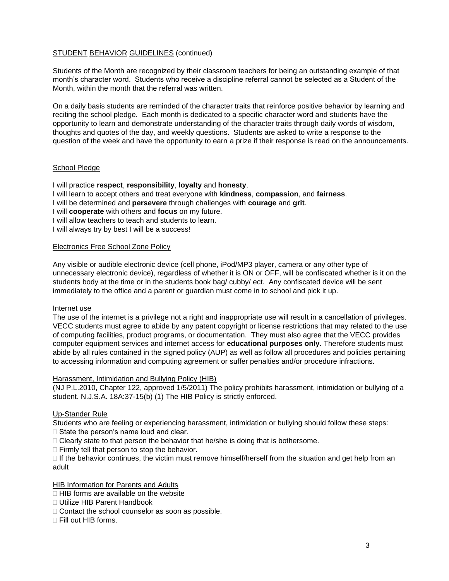Students of the Month are recognized by their classroom teachers for being an outstanding example of that month's character word. Students who receive a discipline referral cannot be selected as a Student of the Month, within the month that the referral was written.

On a daily basis students are reminded of the character traits that reinforce positive behavior by learning and reciting the school pledge. Each month is dedicated to a specific character word and students have the opportunity to learn and demonstrate understanding of the character traits through daily words of wisdom, thoughts and quotes of the day, and weekly questions. Students are asked to write a response to the question of the week and have the opportunity to earn a prize if their response is read on the announcements.

## School Pledge

I will practice **respect**, **responsibility**, **loyalty** and **honesty**.

I will learn to accept others and treat everyone with **kindness**, **compassion**, and **fairness**.

I will be determined and **persevere** through challenges with **courage** and **grit**.

I will **cooperate** with others and **focus** on my future.

I will allow teachers to teach and students to learn.

I will always try by best I will be a success!

#### Electronics Free School Zone Policy

Any visible or audible electronic device (cell phone, iPod/MP3 player, camera or any other type of unnecessary electronic device), regardless of whether it is ON or OFF, will be confiscated whether is it on the students body at the time or in the students book bag/ cubby/ ect. Any confiscated device will be sent immediately to the office and a parent or guardian must come in to school and pick it up.

#### Internet use

The use of the internet is a privilege not a right and inappropriate use will result in a cancellation of privileges. VECC students must agree to abide by any patent copyright or license restrictions that may related to the use of computing facilities, product programs, or documentation. They must also agree that the VECC provides computer equipment services and internet access for **educational purposes only.** Therefore students must abide by all rules contained in the signed policy (AUP) as well as follow all procedures and policies pertaining to accessing information and computing agreement or suffer penalties and/or procedure infractions.

#### Harassment, Intimidation and Bullying Policy (HIB)

(NJ P.L.2010, Chapter 122, approved 1/5/2011) The policy prohibits harassment, intimidation or bullying of a student. N.J.S.A. 18A:37-15(b) (1) The HIB Policy is strictly enforced.

## Up-Stander Rule

Students who are feeling or experiencing harassment, intimidation or bullying should follow these steps: □ State the person's name loud and clear.

 $\Box$  Clearly state to that person the behavior that he/she is doing that is bothersome.

 $\Box$  Firmly tell that person to stop the behavior.

 $\Box$  If the behavior continues, the victim must remove himself/herself from the situation and get help from an adult

## HIB Information for Parents and Adults

 $\Box$  HIB forms are available on the website

- □ Utilize HIB Parent Handbook
- $\Box$  Contact the school counselor as soon as possible.
- Fill out HIB forms.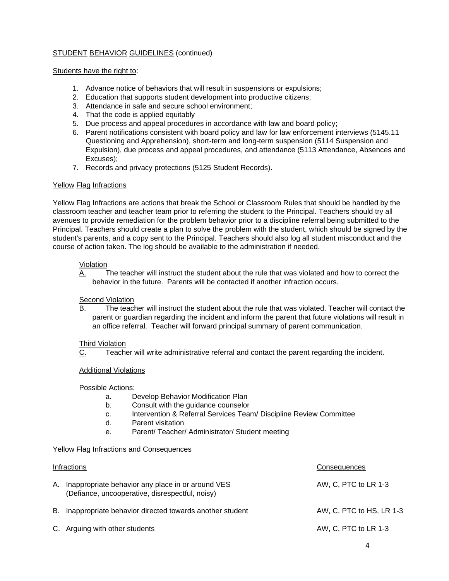## Students have the right to:

- 1. Advance notice of behaviors that will result in suspensions or expulsions;
- 2. Education that supports student development into productive citizens;
- 3. Attendance in safe and secure school environment;
- 4. That the code is applied equitably
- 5. Due process and appeal procedures in accordance with law and board policy;
- 6. Parent notifications consistent with board policy and law for law enforcement interviews (5145.11 Questioning and Apprehension), short-term and long-term suspension (5114 Suspension and Expulsion), due process and appeal procedures, and attendance (5113 Attendance, Absences and Excuses);
- 7. Records and privacy protections (5125 Student Records).

# Yellow Flag Infractions

Yellow Flag Infractions are actions that break the School or Classroom Rules that should be handled by the classroom teacher and teacher team prior to referring the student to the Principal. Teachers should try all avenues to provide remediation for the problem behavior prior to a discipline referral being submitted to the Principal. Teachers should create a plan to solve the problem with the student, which should be signed by the student's parents, and a copy sent to the Principal. Teachers should also log all student misconduct and the course of action taken. The log should be available to the administration if needed.

## Violation

A. The teacher will instruct the student about the rule that was violated and how to correct the behavior in the future. Parents will be contacted if another infraction occurs.

## Second Violation

B. The teacher will instruct the student about the rule that was violated. Teacher will contact the parent or guardian regarding the incident and inform the parent that future violations will result in an office referral. Teacher will forward principal summary of parent communication.

## Third Violation

C. Teacher will write administrative referral and contact the parent regarding the incident.

## Additional Violations

Possible Actions:

- a. Develop Behavior Modification Plan
- b. Consult with the guidance counselor
- c. Intervention & Referral Services Team/ Discipline Review Committee
- d. Parent visitation
- e. Parent/ Teacher/ Administrator/ Student meeting

## Yellow Flag Infractions and Consequences

| Infractions |                                                                                                      | Consequences             |
|-------------|------------------------------------------------------------------------------------------------------|--------------------------|
| А.          | Inappropriate behavior any place in or around VES<br>(Defiance, uncooperative, disrespectful, noisy) | AW, C, PTC to LR 1-3     |
| В.          | Inappropriate behavior directed towards another student                                              | AW, C, PTC to HS, LR 1-3 |
|             | C. Arguing with other students                                                                       | AW, C, PTC to LR 1-3     |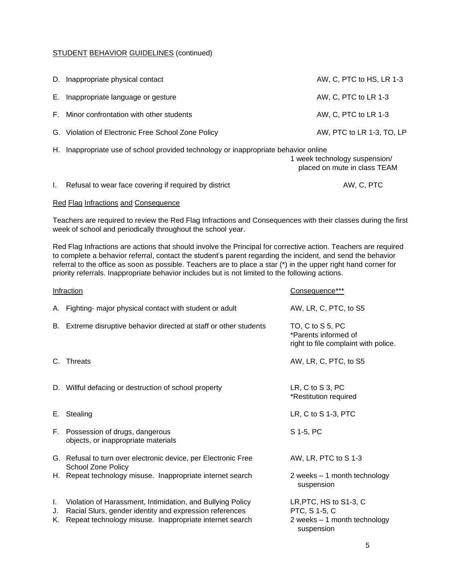| D. Inappropriate physical contact                  | AW, C, PTC to HS, LR 1-3  |
|----------------------------------------------------|---------------------------|
| E. Inappropriate language or gesture               | AW, C, PTC to LR 1-3      |
| F. Minor confrontation with other students         | AW, C, PTC to LR 1-3      |
| G. Violation of Electronic Free School Zone Policy | AW, PTC to LR 1-3, TO, LP |

H. Inappropriate use of school provided technology or inappropriate behavior online

| . | $\cdot$ | . |                               |
|---|---------|---|-------------------------------|
|   |         |   | 1 week technology suspension/ |
|   |         |   | placed on mute in class TEAM  |

| I. Refusal to wear face covering if required by district | AW, C, PTC |
|----------------------------------------------------------|------------|
|                                                          |            |

# Red Flag Infractions and Consequence

Teachers are required to review the Red Flag Infractions and Consequences with their classes during the first week of school and periodically throughout the school year.

Red Flag Infractions are actions that should involve the Principal for corrective action. Teachers are required to complete a behavior referral, contact the student's parent regarding the incident, and send the behavior referral to the office as soon as possible. Teachers are to place a star (\*) in the upper right hand corner for priority referrals. Inappropriate behavior includes but is not limited to the following actions.

| <b>Infraction</b> |                                                                                                                                                                                  | Consequence***                                                                        |
|-------------------|----------------------------------------------------------------------------------------------------------------------------------------------------------------------------------|---------------------------------------------------------------------------------------|
|                   | A. Fighting- major physical contact with student or adult                                                                                                                        | AW, LR, C, PTC, to S5                                                                 |
| В.                | Extreme disruptive behavior directed at staff or other students                                                                                                                  | TO, C to S 5, PC<br>*Parents informed of<br>right to file complaint with police.      |
| C.                | <b>Threats</b>                                                                                                                                                                   | AW, LR, C, PTC, to S5                                                                 |
|                   | D. Willful defacing or destruction of school property                                                                                                                            | LR, $C$ to $S$ 3, $PC$<br>*Restitution required                                       |
| Е.                | Stealing                                                                                                                                                                         | LR, C to S 1-3, PTC                                                                   |
|                   | F. Possession of drugs, dangerous<br>objects, or inappropriate materials                                                                                                         | S 1-5, PC                                                                             |
|                   | G. Refusal to turn over electronic device, per Electronic Free<br>School Zone Policy                                                                                             | AW, LR, PTC to S 1-3                                                                  |
|                   | H. Repeat technology misuse. Inappropriate internet search                                                                                                                       | 2 weeks - 1 month technology<br>suspension                                            |
| L.<br>J.<br>K.    | Violation of Harassment, Intimidation, and Bullying Policy<br>Racial Slurs, gender identity and expression references<br>Repeat technology misuse. Inappropriate internet search | LR, PTC, HS to S1-3, C<br>PTC, S 1-5, C<br>2 weeks - 1 month technology<br>suspension |